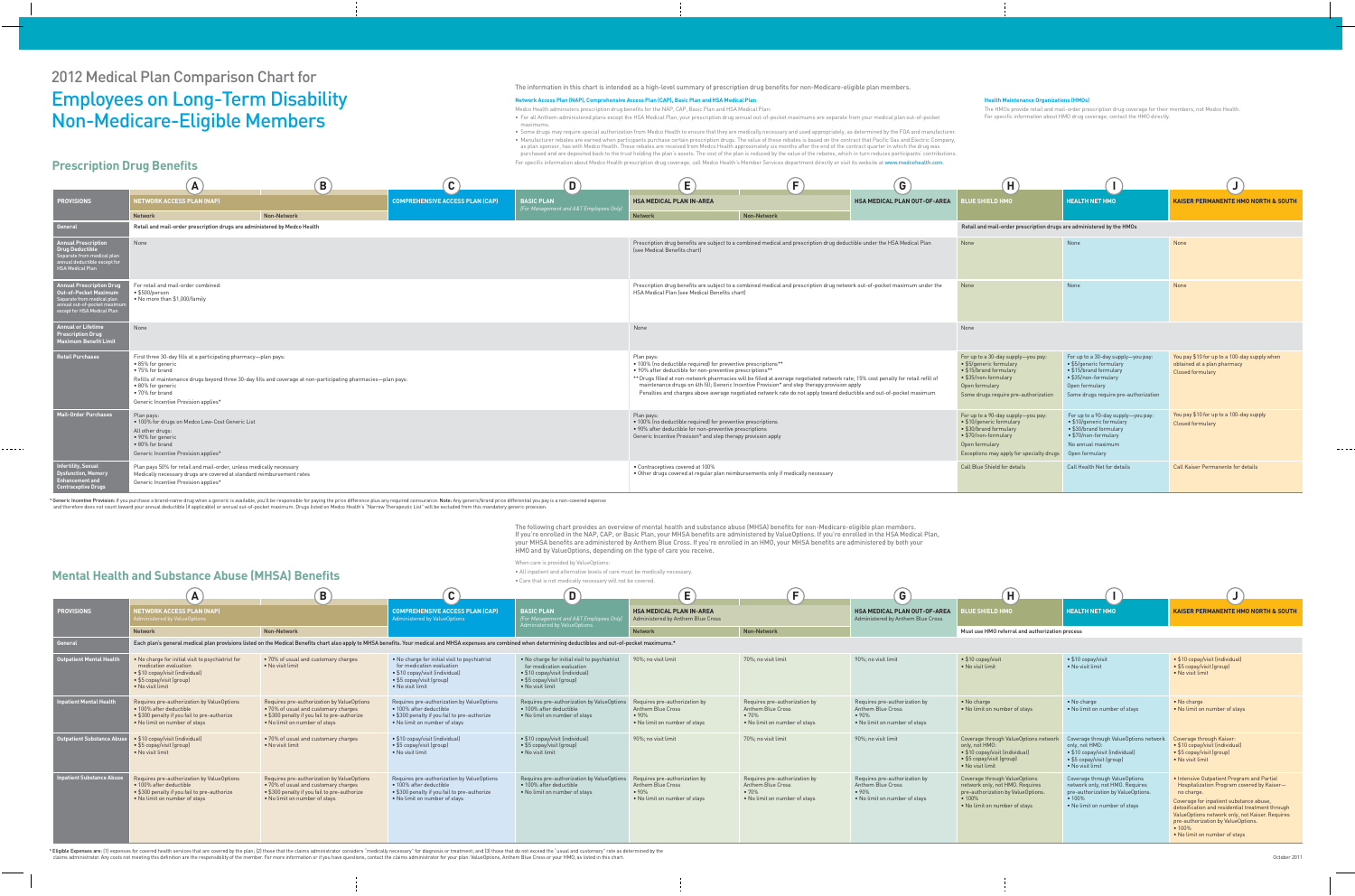# 2012 Medical Plan Comparison Chart for Employees on Long-Term Disability Non-Medicare-Eligible Members

- Medco Health administers prescription drug benefits for the NAP, CAP, Basic Plan and HSA Medical Plan:
- For all Anthem-administered plans except the HSA Medical Plan, your prescription drug annual out-of-pocket maximums are separate from your medical plan out-of-pocket maximums.
- Some drugs may require special authorization from Medco Health to ensure that they are medically necessary and used appropriately, as determined by the FDA and manufacturer. • Manufacturer rebates are earned when participants purchase certain prescription drugs. The value of these rebates is based on the contract that Pacific Gas and Electric Company, as plan sponsor, has with Medco Health. These rebates are received from Medco Health approximately six months after the end of the contract quarter in which the drug was purchased and are deposited back to the trust holding the plan's assets. The cost of the plan is reduced by the value of the rebates, which in turn reduces participants' contributions. For specific information about Medco Health prescription drug coverage, call Medco Health's Member Services department directly or visit its website at www.medcohealth.com.

| Н                                                                                                                                                                              |                                                                                                                                                                           |                                                                                                        |
|--------------------------------------------------------------------------------------------------------------------------------------------------------------------------------|---------------------------------------------------------------------------------------------------------------------------------------------------------------------------|--------------------------------------------------------------------------------------------------------|
| <b>BLUE SHIELD HMO</b>                                                                                                                                                         | <b>HEALTH NET HMO</b>                                                                                                                                                     | <b>KAISER PERMANENTE HMO NORTH &amp; SOUTH</b>                                                         |
| Retail and mail-order prescription drugs are administered by the HMOs                                                                                                          |                                                                                                                                                                           |                                                                                                        |
| <b>None</b>                                                                                                                                                                    | None                                                                                                                                                                      | None                                                                                                   |
| <b>None</b>                                                                                                                                                                    | None                                                                                                                                                                      | None                                                                                                   |
| None                                                                                                                                                                           |                                                                                                                                                                           |                                                                                                        |
| For up to a 30-day supply-you pay:<br>• \$5/generic formulary<br>• \$15/brand formulary<br>• \$35/non-formulary<br>Open formulary<br>Some drugs require pre-authorization      | For up to a 30-day supply-you pay:<br>• \$5/generic formulary<br>• \$15/brand formulary<br>• \$35/non-formulary<br>Open formulary<br>Some drugs require pre-authorization | You pay \$10 for up to a 100-day supply when<br>obtained at a plan pharmacy<br><b>Closed formulary</b> |
| For up to a 90-day supply-you pay:<br>• \$10/generic formulary<br>• \$30/brand formulary<br>• \$70/non-formulary<br>Open formulary<br>Exceptions may apply for specialty drugs | For up to a 90-day supply-you pay:<br>• \$10/generic formulary<br>• \$30/brand formulary<br>• \$70/non-formulary<br>No annual maximum<br>Open formulary                   | You pay \$10 for up to a 100-day supply<br><b>Closed formulary</b>                                     |
| <b>Call Blue Shield for details</b>                                                                                                                                            | Call Health Net for details                                                                                                                                               | <b>Call Kaiser Permanente for details</b>                                                              |

#### The information in this chart is intended as a high-level summary of prescription drug benefits for non-Medicare-eligible plan members.

#### **Network Access Plan (NAP), Comprehensive Access Plan (CAP), Basic Plan and HSA Medical Plan**

The following chart provides an overview of mental health and substance abuse (MHSA) benefits for non-Medicare-eligible plan members. If you're enrolled in the NAP, CAP, or Basic Plan, your MHSA benefits are administered by ValueOptions. If you're enrolled in the HSA Medical Plan, your MHSA benefits are administered by Anthem Blue Cross. If you're enrolled in an HMO, your MHSA benefits are administered by both your HMO and by ValueOptions, depending on the type of care you receive.

When care is provided by ValueOptions:

• All inpatient and alternative levels of care must be medically necessary.

### **Health Maintenance Organizations (HMOs)**

|                                                                                                                                                              |                                                                                                                                                                                         | B                                                                                                              |                                        |
|--------------------------------------------------------------------------------------------------------------------------------------------------------------|-----------------------------------------------------------------------------------------------------------------------------------------------------------------------------------------|----------------------------------------------------------------------------------------------------------------|----------------------------------------|
| <b>PROVISIONS</b>                                                                                                                                            | <b>NETWORK ACCESS PLAN (NAP)</b>                                                                                                                                                        |                                                                                                                | <b>COMPREHENSIVE ACCESS PLAN (CAP)</b> |
|                                                                                                                                                              | <b>Network</b>                                                                                                                                                                          | <b>Non-Network</b>                                                                                             |                                        |
| <b>General</b>                                                                                                                                               | Retail and mail-order prescription drugs are administered by Medco Health                                                                                                               |                                                                                                                |                                        |
| <b>Annual Prescription</b><br><b>Drug Deductible</b><br>Separate from medical plan<br>annual deductible except for<br><b>HSA Medical Plan</b>                | None                                                                                                                                                                                    |                                                                                                                |                                        |
| <b>Annual Prescription Drug</b><br><b>Out-of-Pocket Maximum</b><br>Separate from medical plan<br>annual out-of-pocket maximum<br>except for HSA Medical Plan | For retail and mail-order combined:<br>• \$500/person<br>• No more than \$1,000/family                                                                                                  |                                                                                                                |                                        |
| <b>Annual or Lifetime</b><br><b>Prescription Drug</b><br><b>Maximum Benefit Limit</b>                                                                        | None                                                                                                                                                                                    |                                                                                                                |                                        |
| <b>Retail Purchases</b>                                                                                                                                      | First three 30-day fills at a participating pharmacy-plan pays:<br>• 85% for generic<br>• 75% for brand<br>• 80% for generic<br>• 70% for brand<br>Generic Incentive Provision applies* | Refills of maintenance drugs beyond three 30-day fills and coverage at non-participating pharmacies-plan pays: |                                        |
| <b>Mail-Order Purchases</b>                                                                                                                                  | Plan pays:<br>. 100% for drugs on Medco Low-Cost Generic List<br>All other drugs:<br>• 90% for generic<br>• 80% for brand<br>Generic Incentive Provision applies*                       |                                                                                                                |                                        |
| <b>Infertility, Sexual</b><br><b>Dysfunction, Memory</b><br><b>Enhancement and</b><br><b>Contraceptive Drugs</b>                                             | Plan pays 50% for retail and mail-order, unless medically necessary<br>Medically necessary drugs are covered at standard reimbursement rates<br>Generic Incentive Provision applies*    |                                                                                                                |                                        |

\* Generic Incentive Provision: If you purchase a brand-name drug when a generic is available, you'll be responsible for paying the price difference plus any required coinsurance. Note: Any generic/brand price differential and therefore does not count toward your annual deductible (if applicable) or annual out-of-pocket maximum. Drugs listed on Medco Health's "Narrow Therapeutic List" will be excluded from this mandatory generic provision.

The HMOs provide retail and mail-order prescription drug coverage for their members, not Medco Health. For specific information about HMO drug coverage, contact the HMO directly.

|                                                                                                                                                             | A                                                                                                                                                                                               | $\vert \mathbf{B} \vert$                                                                                       | $\mathbf{C}$                    | D)                                         | $\mathbf{E}$                                                                                                                                                                                           | Е                                                                                                                                                                                                                                                                                                                                                          | G)                                  | $\left  \mathbf{H} \right $                                                                                                                                                            |                                                                                                                                                                           |                                                                                                        |
|-------------------------------------------------------------------------------------------------------------------------------------------------------------|-------------------------------------------------------------------------------------------------------------------------------------------------------------------------------------------------|----------------------------------------------------------------------------------------------------------------|---------------------------------|--------------------------------------------|--------------------------------------------------------------------------------------------------------------------------------------------------------------------------------------------------------|------------------------------------------------------------------------------------------------------------------------------------------------------------------------------------------------------------------------------------------------------------------------------------------------------------------------------------------------------------|-------------------------------------|----------------------------------------------------------------------------------------------------------------------------------------------------------------------------------------|---------------------------------------------------------------------------------------------------------------------------------------------------------------------------|--------------------------------------------------------------------------------------------------------|
| <b>PROVISIONS</b>                                                                                                                                           | <b>NETWORK ACCESS PLAN (NAP)</b>                                                                                                                                                                |                                                                                                                | COMPREHENSIVE ACCESS PLAN (CAP) | <b>BASIC PLAN</b>                          | <b>HSA MEDICAL PLAN IN-AREA</b>                                                                                                                                                                        |                                                                                                                                                                                                                                                                                                                                                            | <b>HSA MEDICAL PLAN OUT-OF-AREA</b> | <b>LUE SHIELD HMO</b>                                                                                                                                                                  | <b>HEALTH NET HMO</b>                                                                                                                                                     | <b>KAISER PERMANENTE HMO NORTH &amp; SOUTH</b>                                                         |
|                                                                                                                                                             | <b>Network</b>                                                                                                                                                                                  | Non-Network                                                                                                    |                                 | .<br>For Management and A&T Employees Only | <b>Network</b>                                                                                                                                                                                         | Non-Network                                                                                                                                                                                                                                                                                                                                                |                                     |                                                                                                                                                                                        |                                                                                                                                                                           |                                                                                                        |
| General                                                                                                                                                     | Retail and mail-order prescription drugs are administered by Medco Health                                                                                                                       |                                                                                                                |                                 |                                            |                                                                                                                                                                                                        |                                                                                                                                                                                                                                                                                                                                                            |                                     | Retail and mail-order prescription drugs are administered by the HMOs                                                                                                                  |                                                                                                                                                                           |                                                                                                        |
| <b>Annual Prescription</b><br><b>Drug Deductible</b><br>Separate from medical plan<br>annual deductible except for<br><b>HSA Medical Plan</b>               | None                                                                                                                                                                                            |                                                                                                                |                                 |                                            | [see Medical Benefits chart]                                                                                                                                                                           | Prescription drug benefits are subject to a combined medical and prescription drug deductible under the HSA Medical Plan                                                                                                                                                                                                                                   |                                     | None                                                                                                                                                                                   | None                                                                                                                                                                      | None                                                                                                   |
| <b>Annual Prescription Drug</b><br><b>Out-of-Pocket Maximum</b><br>Separate from medical plan<br>annual out-of-pocket maximu<br>except for HSA Medical Plan | For retail and mail-order combined:<br>• \$500/person<br>• No more than \$1,000/family                                                                                                          |                                                                                                                |                                 |                                            | <b>HSA Medical Plan (see Medical Benefits chart)</b>                                                                                                                                                   | Prescription drug benefits are subject to a combined medical and prescription drug network out-of-pocket maximum under the                                                                                                                                                                                                                                 |                                     | None                                                                                                                                                                                   | None                                                                                                                                                                      | None                                                                                                   |
| <b>Annual or Lifetime</b><br><b>Prescription Drug</b><br><b>Maximum Benefit Limit</b>                                                                       | None                                                                                                                                                                                            |                                                                                                                |                                 |                                            | None                                                                                                                                                                                                   |                                                                                                                                                                                                                                                                                                                                                            |                                     | None                                                                                                                                                                                   |                                                                                                                                                                           |                                                                                                        |
| <b>Retail Purchases</b>                                                                                                                                     | First three 30-day fills at a participating pharmacy-plan pays:<br>• 85% for generic<br>• 75% for brand<br>• 80% for generic<br>$\bullet$ 70% for brand<br>Generic Incentive Provision applies* | Refills of maintenance drugs beyond three 30-day fills and coverage at non-participating pharmacies-plan pays: |                                 |                                            | Plan pays:<br>• 100% (no deductible required) for preventive prescriptions**<br>• 90% after deductible for non-preventive prescriptions**                                                              | ** Drugs filled at non-network pharmacies will be filled at average negotiated network rate; 15% cost penalty for retail refill of<br>maintenance drugs on 4th fill; Generic Incentive Provision* and step therapy provision apply<br>Penalties and charges above average negotiated network rate do not apply toward deductible and out-of-pocket maximum |                                     | For up to a 30-day supply-you pay:<br>• \$5/generic formulary<br>• \$15/brand formulary<br>• \$35/non-formulary<br>Open formulary<br>Some drugs require pre-authorization              | For up to a 30-day supply-you pay:<br>• \$5/generic formulary<br>• \$15/brand formulary<br>• \$35/non-formulary<br>Open formulary<br>Some drugs require pre-authorization | You pay \$10 for up to a 100-day supply when<br>obtained at a plan pharmacy<br><b>Closed formulary</b> |
| Mail-Order Purchases                                                                                                                                        | Plan pays:<br>. 100% for drugs on Medco Low-Cost Generic List<br>All other drugs:<br>• 90% for generic<br>• 80% for brand<br><b>Generic Incentive Provision applies*</b>                        |                                                                                                                |                                 |                                            | Plan pays:<br>• 100% (no deductible required) for preventive prescriptions<br>• 90% after deductible for non-preventive prescriptions<br>Generic Incentive Provision* and step therapy provision apply |                                                                                                                                                                                                                                                                                                                                                            |                                     | For up to a 90-day supply-you pay:<br>• \$10/generic formulary<br>$\bullet$ \$30/brand formulary<br>• \$70/non-formulary<br>Open formulary<br>Exceptions may apply for specialty drugs | For up to a 90-day supply-you pay:<br>• \$10/generic formulary<br>• \$30/brand formulary<br>• \$70/non-formulary<br>No annual maximum<br>Open formulary                   | You pay \$10 for up to a 100-day supply<br><b>Closed formulary</b>                                     |
| <b>Infertility, Sexual</b><br>Dysfunction, Memory<br>Enhancement and                                                                                        | Plan pays 50% for retail and mail-order, unless medically necessary<br>Medically necessary drugs are covered at standard reimbursement rates<br><b>Generic Incentive Provision applies*</b>     |                                                                                                                |                                 |                                            | • Contraceptives covered at 100%                                                                                                                                                                       | • Other drugs covered at regular plan reimbursements only if medically necessary                                                                                                                                                                                                                                                                           |                                     | Call Blue Shield for details                                                                                                                                                           | Call Health Net for details                                                                                                                                               | <b>Call Kaiser Permanente for details</b>                                                              |

## **Prescription Drug Benefits**

| Н                                                                                                                                                 |                                                                                                                                                   |                                                                                                                                                                                                                                                                                                                                           |
|---------------------------------------------------------------------------------------------------------------------------------------------------|---------------------------------------------------------------------------------------------------------------------------------------------------|-------------------------------------------------------------------------------------------------------------------------------------------------------------------------------------------------------------------------------------------------------------------------------------------------------------------------------------------|
| <b>BLUE SHIELD HMO</b>                                                                                                                            | <b>HEALTH NET HMO</b>                                                                                                                             | <b>KAISER PERMANENTE HMO NORTH &amp; SOUTH</b>                                                                                                                                                                                                                                                                                            |
| Must use HMO referral and authorization process                                                                                                   |                                                                                                                                                   |                                                                                                                                                                                                                                                                                                                                           |
|                                                                                                                                                   |                                                                                                                                                   |                                                                                                                                                                                                                                                                                                                                           |
| • \$10 copay/visit<br>• No visit limit                                                                                                            | • \$10 copay/visit<br>• No visit limit                                                                                                            | • \$10 copay/visit (individual)<br>• \$5 copay/visit (group)<br>• No visit limit                                                                                                                                                                                                                                                          |
| • No charge<br>. No limit on number of stays                                                                                                      | • No charge<br>. No limit on number of stays                                                                                                      | • No charge<br>. No limit on number of stays                                                                                                                                                                                                                                                                                              |
| Coverage through ValueOptions network<br>only, not HMO:<br>• \$10 copay/visit (individual)<br>• \$5 copay/visit (group)<br>• No visit limit       | Coverage through ValueOptions network<br>only, not HMO:<br>• \$10 copay/visit (individual)<br>• \$5 copay/visit (group)<br>• No visit limit       | Coverage through Kaiser:<br>• \$10 copay/visit (individual)<br>• \$5 copay/visit (group)<br>• No visit limit                                                                                                                                                                                                                              |
| Coverage through ValueOptions<br>network only, not HMO. Requires<br>pre-authorization by ValueOptions.<br>• 100%<br>. No limit on number of stays | Coverage through ValueOptions<br>network only, not HMO. Requires<br>pre-authorization by ValueOptions.<br>• 100%<br>. No limit on number of stays | • Intensive Outpatient Program and Partial<br>Hospitalization Program covered by Kaiser-<br>no charge.<br>Coverage for inpatient substance abuse,<br>detoxification and residential treatment through<br>ValueOptions network only, not Kaiser. Requires<br>pre-authorization by ValueOptions.<br>• 100%<br>. No limit on number of stays |

|                                 | <b>Mental Health and Substance Abuse (MHSA) Benefits</b>                                                                                                       |                                                                                                                                                                                                                     |                                                                                                                                                                | • All impatient and attemative tevels or care must be medically necessary.<br>• Care that is not medically necessary will not be covered.                      |                                                                                                    |                                                                                                             |                                                                                                             |                                                                                                                                                         |                                                                                                                                                           |                                                                                                                                                                                                                                               |
|---------------------------------|----------------------------------------------------------------------------------------------------------------------------------------------------------------|---------------------------------------------------------------------------------------------------------------------------------------------------------------------------------------------------------------------|----------------------------------------------------------------------------------------------------------------------------------------------------------------|----------------------------------------------------------------------------------------------------------------------------------------------------------------|----------------------------------------------------------------------------------------------------|-------------------------------------------------------------------------------------------------------------|-------------------------------------------------------------------------------------------------------------|---------------------------------------------------------------------------------------------------------------------------------------------------------|-----------------------------------------------------------------------------------------------------------------------------------------------------------|-----------------------------------------------------------------------------------------------------------------------------------------------------------------------------------------------------------------------------------------------|
|                                 | $\overline{\mathsf{A}}$                                                                                                                                        | B                                                                                                                                                                                                                   | $\bullet$<br>v.                                                                                                                                                | D                                                                                                                                                              | E                                                                                                  | E.                                                                                                          | $\boxed{G}$                                                                                                 | H                                                                                                                                                       |                                                                                                                                                           |                                                                                                                                                                                                                                               |
| <b>PROVISIONS</b>               | <b>IETWORK ACCESS PLAN (NAP)</b><br>ministered by ValueOptions                                                                                                 |                                                                                                                                                                                                                     | <b>COMPREHENSIVE ACCESS PLAN (CAP)</b><br>Administered by ValueOptions                                                                                         | <b>BASIC PLAN</b><br>For Management and A&T Employees On                                                                                                       | <b>HSA MEDICAL PLAN IN-AREA</b><br>Administered by Anthem Blue Cross                               |                                                                                                             | <b>HSA MEDICAL PLAN OUT-OF-AREA</b><br>Administered by Anthem Blue Cross                                    | <b>UE SHIELD HMO</b>                                                                                                                                    | <b>LHEALTH NET HMO</b>                                                                                                                                    | <b>KAISER PERMANENTE</b>                                                                                                                                                                                                                      |
|                                 | <b>Network</b>                                                                                                                                                 | <b>Non-Network</b>                                                                                                                                                                                                  |                                                                                                                                                                | Administered by ValueOptions                                                                                                                                   | <b>Network</b>                                                                                     | Non-Network                                                                                                 |                                                                                                             | Must use HMO referral and authorization process                                                                                                         |                                                                                                                                                           |                                                                                                                                                                                                                                               |
| General                         |                                                                                                                                                                | Each plan's general medical plan provisions listed on the Medical Benefits chart also apply to MHSA benefits. Your medical and MHSA expenses are combined when determining deductibles and out-of-pocket maximums.* |                                                                                                                                                                |                                                                                                                                                                |                                                                                                    |                                                                                                             |                                                                                                             |                                                                                                                                                         |                                                                                                                                                           |                                                                                                                                                                                                                                               |
| Outpatient Mental Healt         | . No charge for initial visit to psychiatrist for<br>medication evaluation<br>• \$10 copay/visit (individual)<br>• \$5 copay/visit (group)<br>• No visit limit | • 70% of usual and customary charges<br>• No visit limit                                                                                                                                                            | • No charge for initial visit to psychiatrist<br>for medication evaluation<br>• \$10 copay/visit (individual)<br>• \$5 copay/visit (group)<br>• No visit limit | • No charge for initial visit to psychiatrist<br>for medication evaluation<br>• \$10 copay/visit (individual)<br>• \$5 copay/visit (group)<br>• No visit limit | 90%; no visit limit                                                                                | 70%; no visit limit                                                                                         | 90%; no visit limit                                                                                         | $\bullet$ \$10 copay/visit<br>• No visit limit                                                                                                          | $\bullet$ \$10 copay/visit<br>• No visit limit                                                                                                            | • \$10 copay/visit (individua<br>• \$5 copay/visit (group)<br>• No visit limit                                                                                                                                                                |
| <b>Inpatient Mental Health</b>  | Requires pre-authorization by ValueOptions<br>• 100% after deductible<br>• \$300 penalty if you fail to pre-authorize<br>• No limit on number of stays         | Requires pre-authorization by ValueOptions<br>• 70% of usual and customary charges<br>• \$300 penalty if you fail to pre-authorize<br>. No limit on number of stays                                                 | Requires pre-authorization by ValueOptions<br>• 100% after deductible<br>• \$300 penalty if you fail to pre-authorize<br>• No limit on number of stays         | Requires pre-authorization by ValueOptions<br>• 100% after deductible<br>• No limit on number of stays                                                         | Requires pre-authorization by<br><b>Anthem Blue Cross</b><br>•90%<br>. No limit on number of stays | Requires pre-authorization by<br><b>Anthem Blue Cross</b><br>$\bullet$ 70%<br>• No limit on number of stays | Requires pre-authorization by<br><b>Anthem Blue Cross</b><br>•90%<br>. No limit on number of stays          | • No charge<br>• No limit on number of stays                                                                                                            | • No charge<br>. No limit on number of stays                                                                                                              | • No charge<br>. No limit on number of st                                                                                                                                                                                                     |
| <b>Outpatient Substance Abu</b> | • \$10 copay/visit (individual)<br>• \$5 copay/visit (group)<br>• No visit limit                                                                               | • 70% of usual and customary charges<br>• No visit limit                                                                                                                                                            | • \$10 copay/visit (individual)<br>• \$5 copay/visit (group)<br>• No visit limit                                                                               | • \$10 copay/visit (individual)<br>• \$5 copay/visit (group)<br>• No visit limit                                                                               | 90%; no visit limit                                                                                | 70%; no visit limit                                                                                         | 90%; no visit limit                                                                                         | Coverage through ValueOptions netwo<br>only, not HMO:<br>• \$10 copay/visit (individual)<br>• \$5 copay/visit (group)<br>• No visit limit               | Coverage through ValueOptions netwo<br>only, not HMO:<br>$\bullet$ \$10 copay/visit (individual)<br>$\bullet$ \$5 copay/visit (group)<br>• No visit limit | Coverage through Kaiser:<br>• \$10 copay/visit (individua<br>• \$5 copay/visit (group)<br>• No visit limit                                                                                                                                    |
| <b>Inpatient Substance Abus</b> | Requires pre-authorization by ValueOptions<br>• 100% after deductible<br>• \$300 penalty if you fail to pre-authorize<br>• No limit on number of stays         | Requires pre-authorization by ValueOptions<br>• 70% of usual and customary charges<br>• \$300 penalty if you fail to pre-authorize<br>. No limit on number of stays                                                 | Requires pre-authorization by ValueOptions<br>• 100% after deductible<br>• \$300 penalty if you fail to pre-authorize<br>• No limit on number of stays         | Requires pre-authorization by ValueOptions<br>• 100% after deductible<br>• No limit on number of stays                                                         | Requires pre-authorization by<br><b>Anthem Blue Cross</b><br>•90%<br>. No limit on number of stays | Requires pre-authorization by<br><b>Anthem Blue Cross</b><br>$\bullet$ 70%<br>. No limit on number of stays | Requires pre-authorization by<br><b>Anthem Blue Cross</b><br>$\bullet$ 90%<br>• No limit on number of stays | Coverage through ValueOptions<br>network only, not HMO. Requires<br>pre-authorization by ValueOptions.<br>$\cdot$ 100%<br>• No limit on number of stays | Coverage through ValueOptions<br>network only, not HMO. Requires<br>pre-authorization by ValueOptions.<br>$\bullet$ 100%<br>. No limit on number of stays | · Intensive Outpatient Pro<br><b>Hospitalization Program</b><br>no charge.<br>Coverage for inpatient sub<br>detoxification and resident<br>ValueOptions network only<br>pre-authorization by Value<br>$• 100\%$<br>. No limit on number of st |

\* Eligible Expenses are: (1) expenses for covered health services that are covered by the plan; (2) those that the claims administrator considers "medically necessary" for diagnosis or treatment; and (3) those that do not claims administrator. Any costs not meeting this definition are the responsibility of the member. For more information or if you have questions, contact the claims administrator for your plan: ValueOptions, Anthem Blue Cro

## **Mental Health and Substance Abuse (MHSA) Benefits**